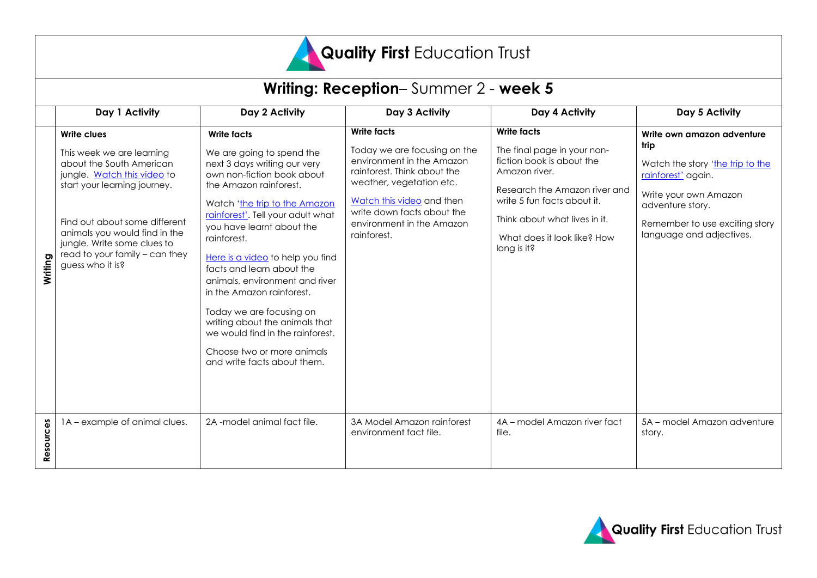

| Writing: Reception-Summer 2 - week 5 |                                                                                                                                                                                                                                                                                            |                                                                                                                                                                                                                                                                                                                                                                                                                                                                                                                                                          |                                                                                                                                                                                                                                                   |                                                                                                                                                                                                                                                |                                                                                                                                                                                                         |
|--------------------------------------|--------------------------------------------------------------------------------------------------------------------------------------------------------------------------------------------------------------------------------------------------------------------------------------------|----------------------------------------------------------------------------------------------------------------------------------------------------------------------------------------------------------------------------------------------------------------------------------------------------------------------------------------------------------------------------------------------------------------------------------------------------------------------------------------------------------------------------------------------------------|---------------------------------------------------------------------------------------------------------------------------------------------------------------------------------------------------------------------------------------------------|------------------------------------------------------------------------------------------------------------------------------------------------------------------------------------------------------------------------------------------------|---------------------------------------------------------------------------------------------------------------------------------------------------------------------------------------------------------|
|                                      | Day 1 Activity                                                                                                                                                                                                                                                                             | Day 2 Activity                                                                                                                                                                                                                                                                                                                                                                                                                                                                                                                                           | Day 3 Activity                                                                                                                                                                                                                                    | Day 4 Activity                                                                                                                                                                                                                                 | Day 5 Activity                                                                                                                                                                                          |
| Writing                              | Write clues<br>This week we are learning<br>about the South American<br>jungle. Watch this video to<br>start your learning journey.<br>Find out about some different<br>animals you would find in the<br>jungle. Write some clues to<br>read to your family - can they<br>guess who it is? | <b>Write facts</b><br>We are going to spend the<br>next 3 days writing our very<br>own non-fiction book about<br>the Amazon rainforest.<br>Watch 'the trip to the Amazon<br>rainforest'. Tell your adult what<br>you have learnt about the<br>rainforest.<br>Here is a video to help you find<br>facts and learn about the<br>animals, environment and river<br>in the Amazon rainforest.<br>Today we are focusing on<br>writing about the animals that<br>we would find in the rainforest.<br>Choose two or more animals<br>and write facts about them. | <b>Write facts</b><br>Today we are focusing on the<br>environment in the Amazon<br>rainforest. Think about the<br>weather, vegetation etc.<br>Watch this video and then<br>write down facts about the<br>environment in the Amazon<br>rainforest. | <b>Write facts</b><br>The final page in your non-<br>fiction book is about the<br>Amazon river.<br>Research the Amazon river and<br>write 5 fun facts about it.<br>Think about what lives in it.<br>What does it look like? How<br>long is it? | Write own amazon adventure<br>trip<br>Watch the story 'the trip to the<br>rainforest' again.<br>Write your own Amazon<br>adventure story.<br>Remember to use exciting story<br>language and adjectives. |
| Resources                            | 1A – example of animal clues.                                                                                                                                                                                                                                                              | 2A -model animal fact file.                                                                                                                                                                                                                                                                                                                                                                                                                                                                                                                              | 3A Model Amazon rainforest<br>environment fact file.                                                                                                                                                                                              | 4A - model Amazon river fact<br>file.                                                                                                                                                                                                          | 5A – model Amazon adventure<br>story.                                                                                                                                                                   |

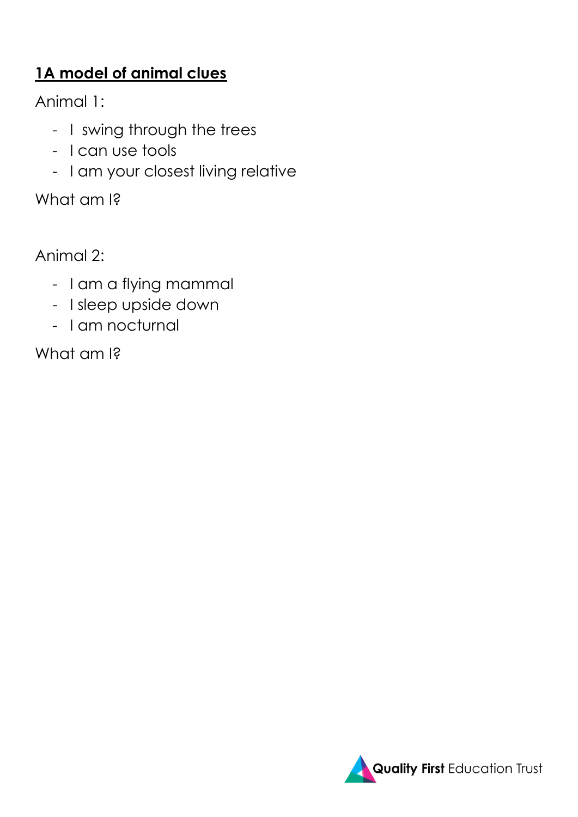# **1A model of animal clues**

Animal 1:

- I swing through the trees
- I can use tools
- I am your closest living relative

What am I?

Animal 2:

- I am a flying mammal
- I sleep upside down
- I am nocturnal

What am I?

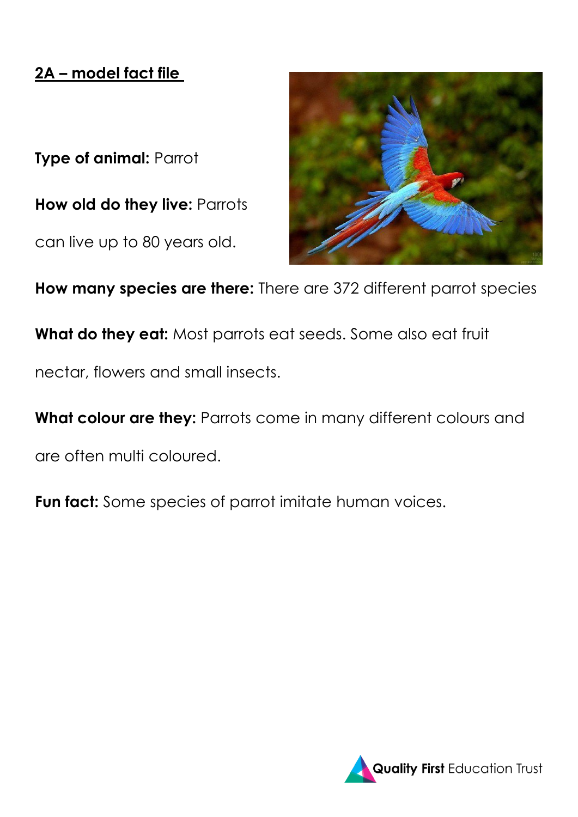## **2A – model fact file**

**Type of animal:** Parrot

**How old do they live:** Parrots

can live up to 80 years old.



**How many species are there:** There are 372 different parrot species

**What do they eat:** Most parrots eat seeds. Some also eat fruit

nectar, flowers and small insects.

**What colour are they:** Parrots come in many different colours and

are often multi coloured.

**Fun fact:** Some species of parrot imitate human voices.

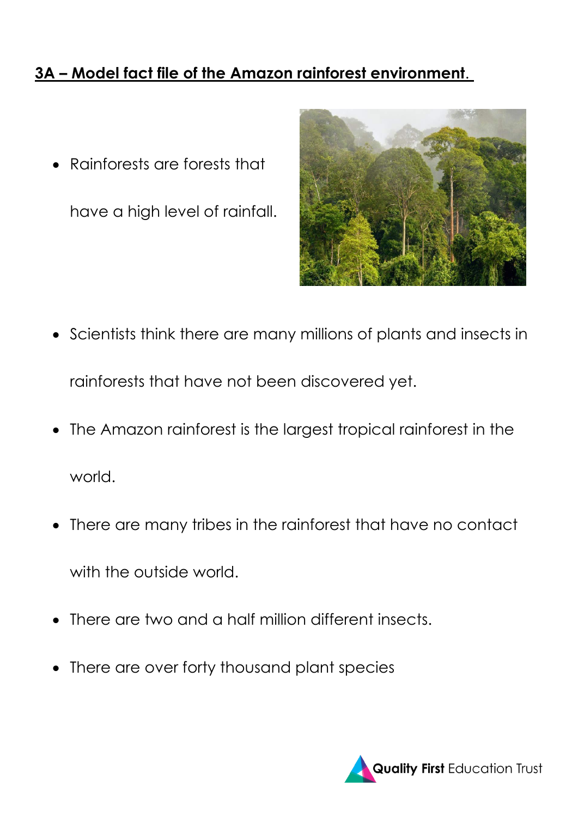## **3A – Model fact file of the Amazon rainforest environment**.

• Rainforests are forests that

have a high level of rainfall.



- Scientists think there are many millions of plants and insects in rainforests that have not been discovered yet.
- The Amazon rainforest is the largest tropical rainforest in the world.
- There are many tribes in the rainforest that have no contact with the outside world.
- There are two and a half million different insects.
- There are over forty thousand plant species

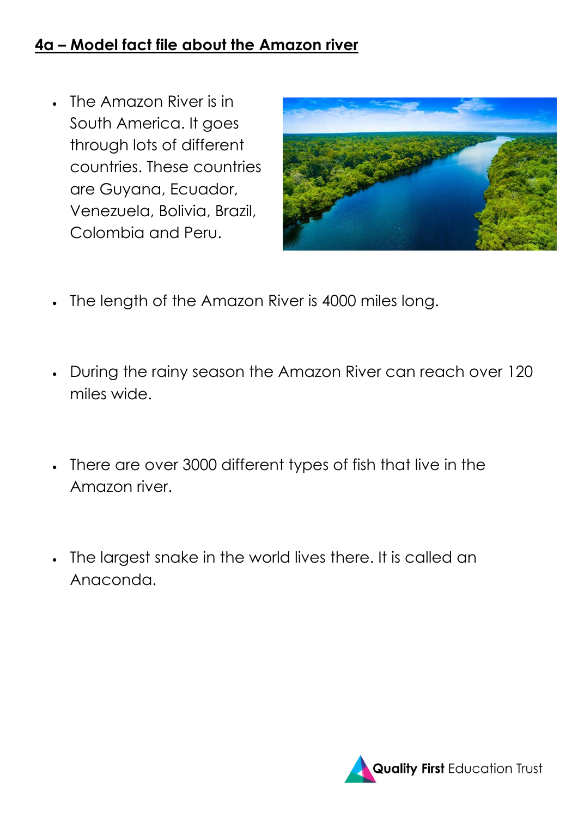#### **4a – Model fact file about the Amazon river**

• The Amazon River is in South America. It goes through lots of different countries. These countries are Guyana, Ecuador, Venezuela, Bolivia, Brazil, Colombia and Peru.



- The length of the Amazon River is 4000 miles long.
- During the rainy season the Amazon River can reach over 120 miles wide.
- There are over 3000 different types of fish that live in the Amazon river.
- The largest snake in the world lives there. It is called an Anaconda.